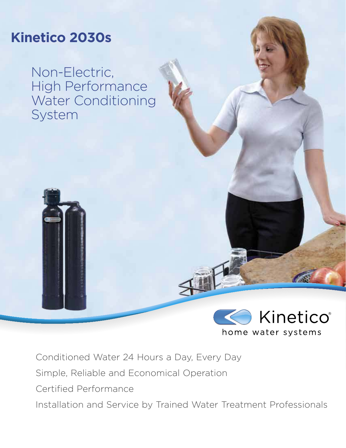## **Kinetico 2030s**

Non-Electric, High Performance Water Conditioning System



Kinetico® home water systems

Conditioned Water 24 Hours a Day, Every Day

Simple, Reliable and Economical Operation

Certified Performance

Installation and Service by Trained Water Treatment Professionals